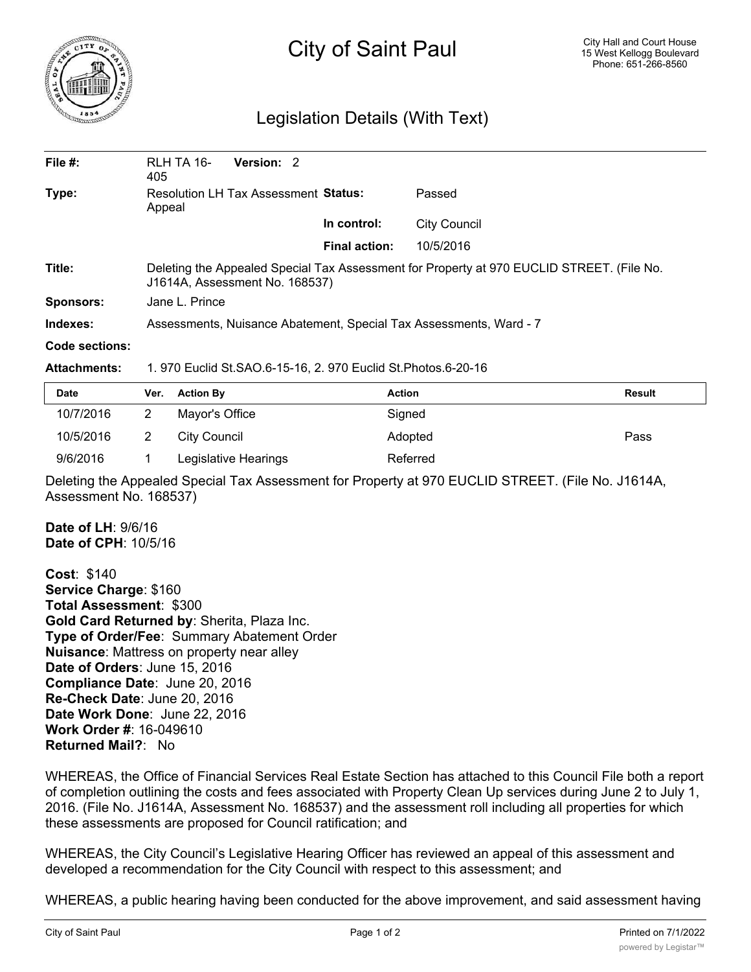

## City of Saint Paul

## Legislation Details (With Text)

| File $#$ :       | RLH TA 16-                                                                                                                  | Version: 2 |                      |                     |  |  |
|------------------|-----------------------------------------------------------------------------------------------------------------------------|------------|----------------------|---------------------|--|--|
|                  | 405                                                                                                                         |            |                      |                     |  |  |
| Type:            | Resolution LH Tax Assessment Status:<br>Appeal                                                                              |            |                      | Passed              |  |  |
|                  |                                                                                                                             |            | In control:          | <b>City Council</b> |  |  |
|                  |                                                                                                                             |            | <b>Final action:</b> | 10/5/2016           |  |  |
| Title:           | Deleting the Appealed Special Tax Assessment for Property at 970 EUCLID STREET. (File No.<br>J1614A, Assessment No. 168537) |            |                      |                     |  |  |
| <b>Sponsors:</b> | Jane L. Prince                                                                                                              |            |                      |                     |  |  |
| Indexes:         | Assessments, Nuisance Abatement, Special Tax Assessments, Ward - 7                                                          |            |                      |                     |  |  |
| Code sections:   |                                                                                                                             |            |                      |                     |  |  |
|                  |                                                                                                                             |            |                      |                     |  |  |

## **Attachments:** 1. 970 Euclid St.SAO.6-15-16, 2. 970 Euclid St.Photos.6-20-16

| <b>Date</b> | Ver. | <b>Action By</b>     | <b>Action</b> | Result |
|-------------|------|----------------------|---------------|--------|
| 10/7/2016   |      | Mayor's Office       | Signed        |        |
| 10/5/2016   |      | City Council         | Adopted       | Pass   |
| 9/6/2016    |      | Legislative Hearings | Referred      |        |

Deleting the Appealed Special Tax Assessment for Property at 970 EUCLID STREET. (File No. J1614A, Assessment No. 168537)

**Date of LH**: 9/6/16 **Date of CPH**: 10/5/16

**Cost**: \$140 **Service Charge**: \$160 **Total Assessment**: \$300 **Gold Card Returned by**: Sherita, Plaza Inc. **Type of Order/Fee**: Summary Abatement Order **Nuisance**: Mattress on property near alley **Date of Orders**: June 15, 2016 **Compliance Date**: June 20, 2016 **Re-Check Date**: June 20, 2016 **Date Work Done**: June 22, 2016 **Work Order #**: 16-049610 **Returned Mail?**: No

WHEREAS, the Office of Financial Services Real Estate Section has attached to this Council File both a report of completion outlining the costs and fees associated with Property Clean Up services during June 2 to July 1, 2016. (File No. J1614A, Assessment No. 168537) and the assessment roll including all properties for which these assessments are proposed for Council ratification; and

WHEREAS, the City Council's Legislative Hearing Officer has reviewed an appeal of this assessment and developed a recommendation for the City Council with respect to this assessment; and

WHEREAS, a public hearing having been conducted for the above improvement, and said assessment having